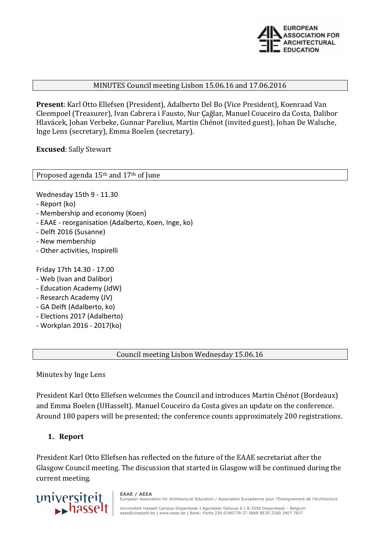

#### MINUTES Council meeting Lisbon 15.06.16 and 17.06.2016

**Present**: Karl Otto Ellefsen (President), Adalberto Del Bo (Vice President), Koenraad Van Cleempoel (Treasurer), Ivan Cabrera i Fausto, Nur Çağlar, Manuel Couceiro da Costa, Dalibor Hlavácek, Johan Verbeke, Gunnar Parelius, Martin Chénot (invited guest), Johan De Walsche, Inge Lens (secretary), Emma Boelen (secretary).

**Excused**: Sally Stewart

Proposed agenda 15th and 17th of June

Wednesday 15th 9 - 11.30

- Report (ko)
- Membership and economy (Koen)
- EAAE reorganisation (Adalberto, Koen, Inge, ko)
- Delft 2016 (Susanne)
- New membership
- Other activities, Inspirelli

Friday 17th 14.30 - 17.00

- Web (Ivan and Dalibor)
- Education Academy (JdW)
- Research Academy (JV)
- GA Delft (Adalberto, ko)
- Elections 2017 (Adalberto)
- Workplan 2016 2017(ko)

#### Council meeting Lisbon Wednesday 15.06.16

Minutes by Inge Lens

President Karl Otto Ellefsen welcomes the Council and introduces Martin Chénot (Bordeaux) and Emma Boelen (UHasselt). Manuel Couceiro da Costa gives an update on the conference. Around 180 papers will be presented; the conference counts approximately 200 registrations.

#### **1. Report**

President Karl Otto Ellefsen has reflected on the future of the EAAE secretariat after the Glasgow Council meeting. The discussion that started in Glasgow will be continued during the current meeting.



**EAAE / AEEA** European Association for Architectural Education / Association Européenne pour l'Enseignement de l'Architecture

Universiteit Hasselt Campus Diepenbeek | Agoralaan Gebouw E | B-3590 Diepenbeek – Belgium<br>eaae@uhasselt.be | www.eaae.be | Bank: Fortis 230-0340778-37 IBAN BE35 2300 3407 7837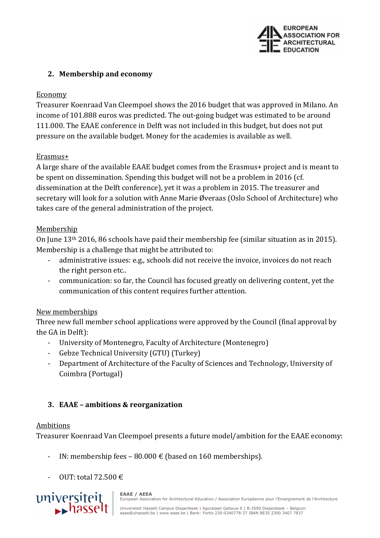

### **2. Membership and economy**

#### Economy

Treasurer Koenraad Van Cleempoel shows the 2016 budget that was approved in Milano. An income of 101.888 euros was predicted. The out-going budget was estimated to be around 111.000. The EAAE conference in Delft was not included in this budget, but does not put pressure on the available budget. Money for the academies is available as well.

#### Erasmus+

A large share of the available EAAE budget comes from the Erasmus+ project and is meant to be spent on dissemination. Spending this budget will not be a problem in 2016 (cf. dissemination at the Delft conference), yet it was a problem in 2015. The treasurer and secretary will look for a solution with Anne Marie Øveraas (Oslo School of Architecture) who takes care of the general administration of the project.

#### Membership

On June 13th 2016, 86 schools have paid their membership fee (similar situation as in 2015). Membership is a challenge that might be attributed to:

- administrative issues: e.g., schools did not receive the invoice, invoices do not reach the right person etc..
- communication: so far, the Council has focused greatly on delivering content, yet the communication of this content requires further attention.

## New memberships

Three new full member school applications were approved by the Council (final approval by the GA in Delft):

- University of Montenegro, Faculty of Architecture (Montenegro)
- Gebze Technical University (GTU) (Turkey)
- Department of Architecture of the Faculty of Sciences and Technology, University of Coimbra (Portugal)

## **3. EAAE – ambitions & reorganization**

## Ambitions

Treasurer Koenraad Van Cleempoel presents a future model/ambition for the EAAE economy:

- IN: membership fees 80.000  $\epsilon$  (based on 160 memberships).
- $-$  OUT: total 72.500  $\in$

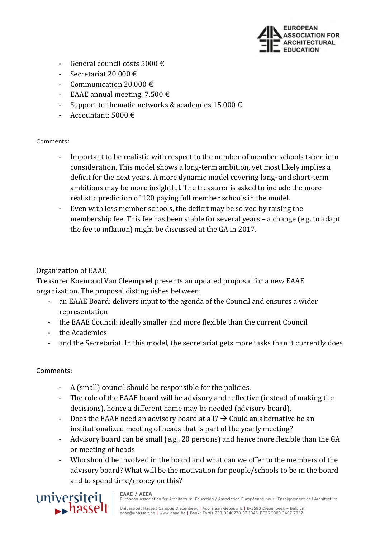

- General council costs 5000  $\epsilon$
- Secretariat 20.000 €
- Communication 20.000  $\epsilon$
- EAAE annual meeting:  $7.500 \in$
- Support to thematic networks & academies 15.000  $\in$
- Accountant: 5000  $\in$

#### Comments:

- Important to be realistic with respect to the number of member schools taken into consideration. This model shows a long-term ambition, yet most likely implies a deficit for the next years. A more dynamic model covering long- and short-term ambitions may be more insightful. The treasurer is asked to include the more realistic prediction of 120 paying full member schools in the model.
- Even with less member schools, the deficit may be solved by raising the membership fee. This fee has been stable for several years – a change (e.g. to adapt the fee to inflation) might be discussed at the GA in 2017.

### Organization of EAAE

Treasurer Koenraad Van Cleempoel presents an updated proposal for a new EAAE organization. The proposal distinguishes between:

- an EAAE Board: delivers input to the agenda of the Council and ensures a wider representation
- the EAAE Council: ideally smaller and more flexible than the current Council
- the Academies
- and the Secretariat. In this model, the secretariat gets more tasks than it currently does

#### Comments:

A (small) council should be responsible for the policies.

**EAAE / AEEA**

- The role of the EAAE board will be advisory and reflective (instead of making the decisions), hence a different name may be needed (advisory board).
- Does the EAAE need an advisory board at all?  $\rightarrow$  Could an alternative be an institutionalized meeting of heads that is part of the yearly meeting?
- Advisory board can be small (e.g., 20 persons) and hence more flexible than the GA or meeting of heads
- Who should be involved in the board and what can we offer to the members of the advisory board? What will be the motivation for people/schools to be in the board and to spend time/money on this?

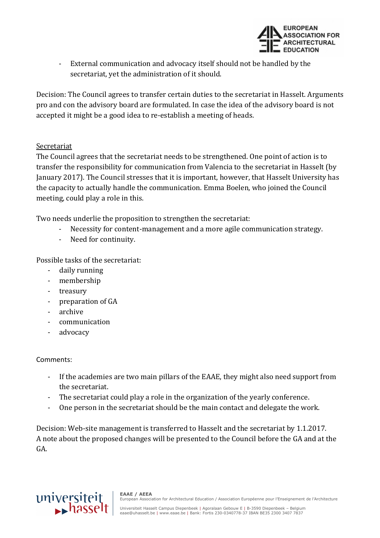

- External communication and advocacy itself should not be handled by the secretariat, yet the administration of it should.

Decision: The Council agrees to transfer certain duties to the secretariat in Hasselt. Arguments pro and con the advisory board are formulated. In case the idea of the advisory board is not accepted it might be a good idea to re-establish a meeting of heads.

#### Secretariat

The Council agrees that the secretariat needs to be strengthened. One point of action is to transfer the responsibility for communication from Valencia to the secretariat in Hasselt (by January 2017). The Council stresses that it is important, however, that Hasselt University has the capacity to actually handle the communication. Emma Boelen, who joined the Council meeting, could play a role in this.

Two needs underlie the proposition to strengthen the secretariat:

- Necessity for content-management and a more agile communication strategy.
- Need for continuity.

Possible tasks of the secretariat:

- daily running
- membership
- treasury
- preparation of GA
- archive
- communication
- advocacy

#### Comments:

- If the academies are two main pillars of the EAAE, they might also need support from the secretariat.
- The secretariat could play a role in the organization of the yearly conference.
- One person in the secretariat should be the main contact and delegate the work.

Decision: Web-site management is transferred to Hasselt and the secretariat by 1.1.2017. A note about the proposed changes will be presented to the Council before the GA and at the GA.

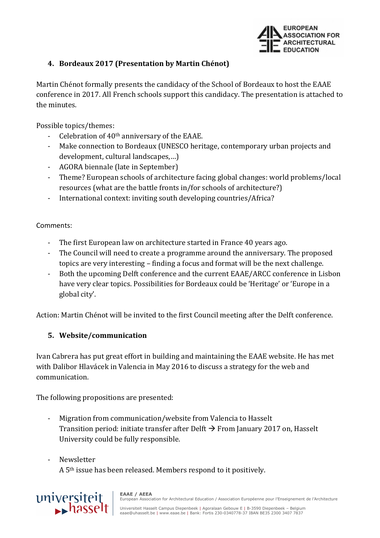

## **4. Bordeaux 2017 (Presentation by Martin Chénot)**

Martin Chénot formally presents the candidacy of the School of Bordeaux to host the EAAE conference in 2017. All French schools support this candidacy. The presentation is attached to the minutes.

Possible topics/themes:

- Celebration of 40<sup>th</sup> anniversary of the EAAE.
- Make connection to Bordeaux (UNESCO heritage, contemporary urban projects and development, cultural landscapes,…)
- AGORA biennale (late in September)
- Theme? European schools of architecture facing global changes: world problems/local resources (what are the battle fronts in/for schools of architecture?)
- International context: inviting south developing countries/Africa?

Comments:

- The first European law on architecture started in France 40 years ago.
- The Council will need to create a programme around the anniversary. The proposed topics are very interesting – finding a focus and format will be the next challenge.
- Both the upcoming Delft conference and the current EAAE/ARCC conference in Lisbon have very clear topics. Possibilities for Bordeaux could be 'Heritage' or 'Europe in a global city'.

Action: Martin Chénot will be invited to the first Council meeting after the Delft conference.

## **5. Website/communication**

Ivan Cabrera has put great effort in building and maintaining the EAAE website. He has met with Dalibor Hlavácek in Valencia in May 2016 to discuss a strategy for the web and communication.

The following propositions are presented:

- Migration from communication/website from Valencia to Hasselt Transition period: initiate transfer after Delft  $\rightarrow$  From January 2017 on, Hasselt University could be fully responsible.
- **Newsletter** A 5th issue has been released. Members respond to it positively.

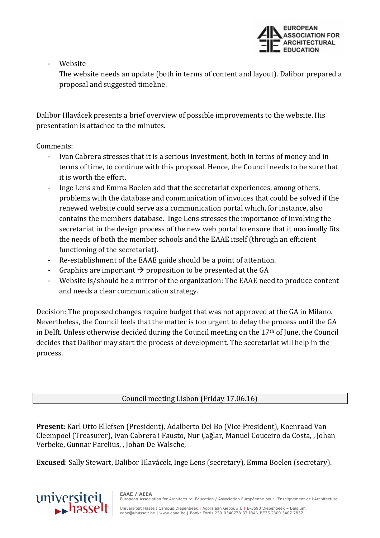

**Website** 

The website needs an update (both in terms of content and layout). Dalibor prepared a proposal and suggested timeline.

Dalibor Hlavácek presents a brief overview of possible improvements to the website. His presentation is attached to the minutes.

#### Comments:

- Ivan Cabrera stresses that it is a serious investment, both in terms of money and in terms of time, to continue with this proposal. Hence, the Council needs to be sure that it is worth the effort.
- Inge Lens and Emma Boelen add that the secretariat experiences, among others, problems with the database and communication of invoices that could be solved if the renewed website could serve as a communication portal which, for instance, also contains the members database. Inge Lens stresses the importance of involving the secretariat in the design process of the new web portal to ensure that it maximally fits the needs of both the member schools and the EAAE itself (through an efficient functioning of the secretariat).
- Re-establishment of the EAAE guide should be a point of attention.
- Graphics are important  $\rightarrow$  proposition to be presented at the GA
- Website is/should be a mirror of the organization: The EAAE need to produce content and needs a clear communication strategy.

Decision: The proposed changes require budget that was not approved at the GA in Milano. Nevertheless, the Council feels that the matter is too urgent to delay the process until the GA in Delft. Unless otherwise decided during the Council meeting on the 17th of June, the Council decides that Dalibor may start the process of development. The secretariat will help in the process.

Council meeting Lisbon (Friday 17.06.16)

**Present**: Karl Otto Ellefsen (President), Adalberto Del Bo (Vice President), Koenraad Van Cleempoel (Treasurer), Ivan Cabrera i Fausto, Nur Çağlar, Manuel Couceiro da Costa, , Johan Verbeke, Gunnar Parelius, , Johan De Walsche,

**Excused**: Sally Stewart, Dalibor Hlavácek, Inge Lens (secretary), Emma Boelen (secretary).



**EAAE / AEEA** European Association for Architectural Education / Association Européenne pour l'Enseignement de l'Architecture

Universiteit Hasselt Campus Diepenbeek | Agoralaan Gebouw E | B-3590 Diepenbeek – Belgium<br>eaae@uhasselt.be | www.eaae.be | Bank: Fortis 230-0340778-37 IBAN BE35 2300 3407 7837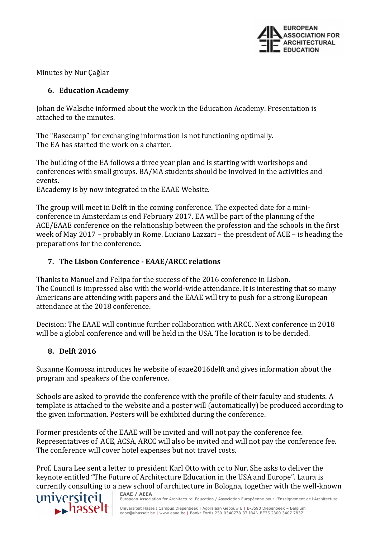

Minutes by Nur Çağlar

### **6. Education Academy**

Johan de Walsche informed about the work in the Education Academy. Presentation is attached to the minutes.

The "Basecamp" for exchanging information is not functioning optimally. The EA has started the work on a charter.

The building of the EA follows a three year plan and is starting with workshops and conferences with small groups. BA/MA students should be involved in the activities and events.

EAcademy is by now integrated in the EAAE Website.

The group will meet in Delft in the coming conference. The expected date for a miniconference in Amsterdam is end February 2017. EA will be part of the planning of the ACE/EAAE conference on the relationship between the profession and the schools in the first week of May 2017 – probably in Rome. Luciano Lazzari – the president of ACE – is heading the preparations for the conference.

# **7. The Lisbon Conference - EAAE/ARCC relations**

Thanks to Manuel and Felipa for the success of the 2016 conference in Lisbon. The Council is impressed also with the world-wide attendance. It is interesting that so many Americans are attending with papers and the EAAE will try to push for a strong European attendance at the 2018 conference.

Decision: The EAAE will continue further collaboration with ARCC. Next conference in 2018 will be a global conference and will be held in the USA. The location is to be decided.

## **8. Delft 2016**

Susanne Komossa introduces he website of eaae2016delft and gives information about the program and speakers of the conference.

Schools are asked to provide the conference with the profile of their faculty and students. A template is attached to the website and a poster will (automatically) be produced according to the given information. Posters will be exhibited during the conference.

Former presidents of the EAAE will be invited and will not pay the conference fee. Representatives of ACE, ACSA, ARCC will also be invited and will not pay the conference fee. The conference will cover hotel expenses but not travel costs.

Prof. Laura Lee sent a letter to president Karl Otto with cc to Nur. She asks to deliver the keynote entitled "The Future of Architecture Education in the USA and Europe". Laura is currently consulting to a new school of architecture in Bologna, together with the well-known



**EAAE / AEEA** European Association for Architectural Education / Association Européenne pour l'Enseignement de l'Architecture

Universiteit Hasselt Campus Diepenbeek | Agoralaan Gebouw E | B-3590 Diepenbeek – Belgium<br>eaae@uhasselt.be | www.eaae.be | Bank: Fortis 230-0340778-37 IBAN BE35 2300 3407 7837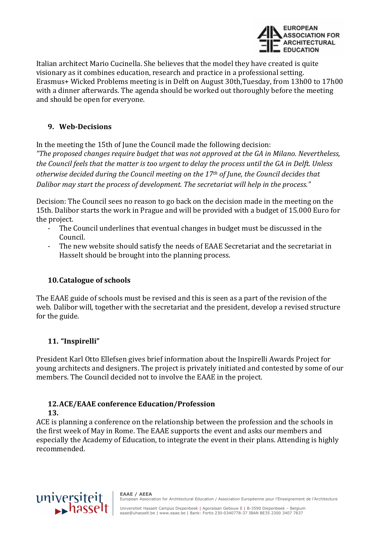

Italian architect Mario Cucinella. She believes that the model they have created is quite visionary as it combines education, research and practice in a professional setting. Erasmus+ Wicked Problems meeting is in Delft on August 30th,Tuesday, from 13h00 to 17h00 with a dinner afterwards. The agenda should be worked out thoroughly before the meeting and should be open for everyone.

## **9. Web-Decisions**

In the meeting the 15th of June the Council made the following decision: *"The proposed changes require budget that was not approved at the GA in Milano. Nevertheless, the Council feels that the matter is too urgent to delay the process until the GA in Delft. Unless otherwise decided during the Council meeting on the 17th of June, the Council decides that Dalibor may start the process of development. The secretariat will help in the process."* 

Decision: The Council sees no reason to go back on the decision made in the meeting on the 15th. Dalibor starts the work in Prague and will be provided with a budget of 15.000 Euro for the project.

- The Council underlines that eventual changes in budget must be discussed in the Council.
- The new website should satisfy the needs of EAAE Secretariat and the secretariat in Hasselt should be brought into the planning process.

## **10.Catalogue of schools**

The EAAE guide of schools must be revised and this is seen as a part of the revision of the web. Dalibor will, together with the secretariat and the president, develop a revised structure for the guide.

## **11. "Inspirelli"**

President Karl Otto Ellefsen gives brief information about the Inspirelli Awards Project for young architects and designers. The project is privately initiated and contested by some of our members. The Council decided not to involve the EAAE in the project.

#### **12.ACE/EAAE conference Education/Profession 13.**

ACE is planning a conference on the relationship between the profession and the schools in the first week of May in Rome. The EAAE supports the event and asks our members and especially the Academy of Education, to integrate the event in their plans. Attending is highly recommended.

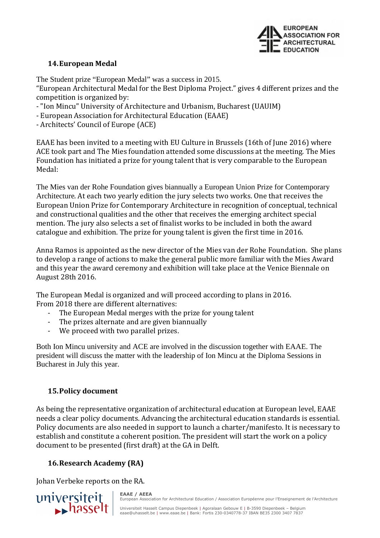

#### **14.European Medal**

The Student prize "European Medal" was a success in 2015.

"European Architectural Medal for the Best Diploma Project." gives 4 different prizes and the competition is organized by:

- "Ion Mincu" University of Architecture and Urbanism, Bucharest (UAUIM)

- European Association for Architectural Education (EAAE)
- Architects' Council of Europe (ACE)

EAAE has been invited to a meeting with EU Culture in Brussels (16th of June 2016) where ACE took part and The Mies foundation attended some discussions at the meeting. The Mies Foundation has initiated a prize for young talent that is very comparable to the European Medal:

The Mies van der Rohe Foundation gives biannually a European Union Prize for Contemporary Architecture. At each two yearly edition the jury selects two works. One that receives the European Union Prize for Contemporary Architecture in recognition of conceptual, technical and constructional qualities and the other that receives the emerging architect special mention. The jury also selects a set of finalist works to be included in both the award catalogue and exhibition. The prize for young talent is given the first time in 2016.

Anna Ramos is appointed as the new director of the Mies van der Rohe Foundation. She plans to develop a range of actions to make the general public more familiar with the Mies Award and this year the award ceremony and exhibition will take place at the Venice Biennale on August 28th 2016.

The European Medal is organized and will proceed according to plans in 2016. From 2018 there are different alternatives:

- The European Medal merges with the prize for young talent
- The prizes alternate and are given biannually

**EAAE / AEEA**

- We proceed with two parallel prizes.

Both Ion Mincu university and ACE are involved in the discussion together with EAAE. The president will discuss the matter with the leadership of Ion Mincu at the Diploma Sessions in Bucharest in July this year.

## **15.Policy document**

As being the representative organization of architectural education at European level, EAAE needs a clear policy documents. Advancing the architectural education standards is essential. Policy documents are also needed in support to launch a charter/manifesto. It is necessary to establish and constitute a coherent position. The president will start the work on a policy document to be presented (first draft) at the GA in Delft.

# **16.Research Academy (RA)**

Johan Verbeke reports on the RA.